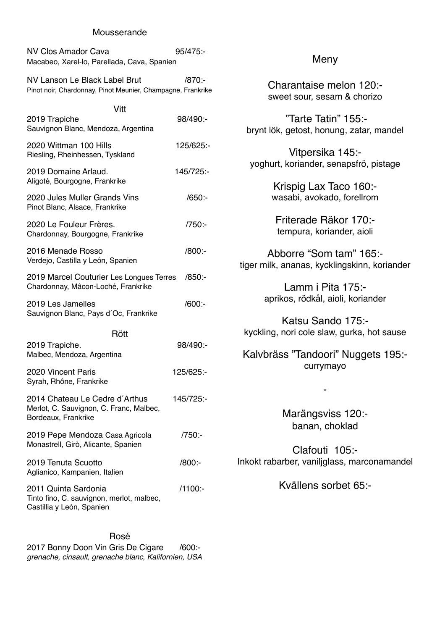#### Mousserande

| <b>NV Clos Amador Cava</b>                  | 95/475 - |
|---------------------------------------------|----------|
| Macabeo, Xarel-lo, Parellada, Cava, Spanien |          |

NV Lanson Le Black Label Brut /870:- Pinot noir, Chardonnay, Pinot Meunier, Champagne, Frankrike

## Vitt 2019 Trapiche 98/490:- Sauvignon Blanc, Mendoza, Argentina 2020 Wittman 100 Hills 125/625:- Riesling, Rheinhessen, Tyskland 2019 Domaine Arlaud. 145/725:- Aligoté, Bourgogne, Frankrike 2020 Jules Muller Grands Vins /650:- Pinot Blanc, Alsace, Frankrike 2020 Le Fouleur Frères. /750:- Chardonnay, Bourgogne, Frankrike 2016 Menade Rosso /800:- Verdejo, Castilla y León, Spanien 2019 Marcel Couturier Les Longues Terres /850:- Chardonnay, Mâcon-Loché, Frankrike 2019 Les Jamelles /600:- Sauvignon Blanc, Pays d´Oc, Frankrike Rött 2019 Trapiche. 98/490:- Malbec, Mendoza, Argentina 2020 Vincent Paris 125/625:- Syrah, Rhône, Frankrike 2014 Chateau Le Cedre d'Arthus 145/725:-Merlot, C. Sauvignon, C. Franc, Malbec, Bordeaux, Frankrike 2019 Pepe Mendoza Casa Agricola /750:-Monastrell, Girò, Alicante, Spanien 2019 Tenuta Scuotto /800:- Aglianico, Kampanien, Italien 2011 Quinta Sardonia /1100:- Tinto fino, C. sauvignon, merlot, malbec, Castillia y León, Spanien

Rosé 2017 Bonny Doon Vin Gris De Cigare /600: *grenache, cinsault, grenache blanc, Kalifornien, USA*

### Meny

Charantaise melon 120: sweet sour, sesam & chorizo

"Tarte Tatin" 155: brynt lök, getost, honung, zatar, mandel

Vitpersika 145: yoghurt, koriander, senapsfrö, pistage

> Krispig Lax Taco 160: wasabi, avokado, forellrom

Friterade Räkor 170: tempura, koriander, aioli

Abborre "Som tam" 165: tiger milk, ananas, kycklingskinn, koriander

> Lamm i Pita 175: aprikos, rödkål, aioli, koriander

Katsu Sando 175: kyckling, nori cole slaw, gurka, hot sause

Kalvbräss "Tandoori" Nuggets 195: currymayo

> Marängsviss 120: banan, choklad

-

Clafouti 105:- Inkokt rabarber, vaniljglass, marconamandel

Kvällens sorbet 65:-